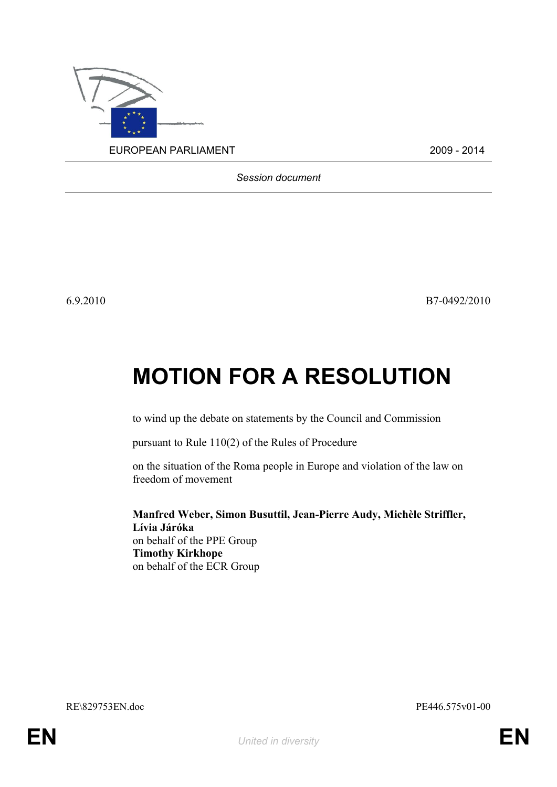

*Session document*

6.9.2010 B7-0492/2010

# **MOTION FOR A RESOLUTION**

to wind up the debate on statements by the Council and Commission

pursuant to Rule 110(2) of the Rules of Procedure

on the situation of the Roma people in Europe and violation of the law on freedom of movement

<span id="page-0-0"></span>**Manfred Weber, Simon Busuttil, Jean-Pierre Audy, Michèle Striffler, Lívia Járóka** on behalf of the PPE Group **Timothy Kirkhope** on behalf of the ECR Group

<span id="page-0-1"></span>RE\829753EN.doc PE446.575v01-00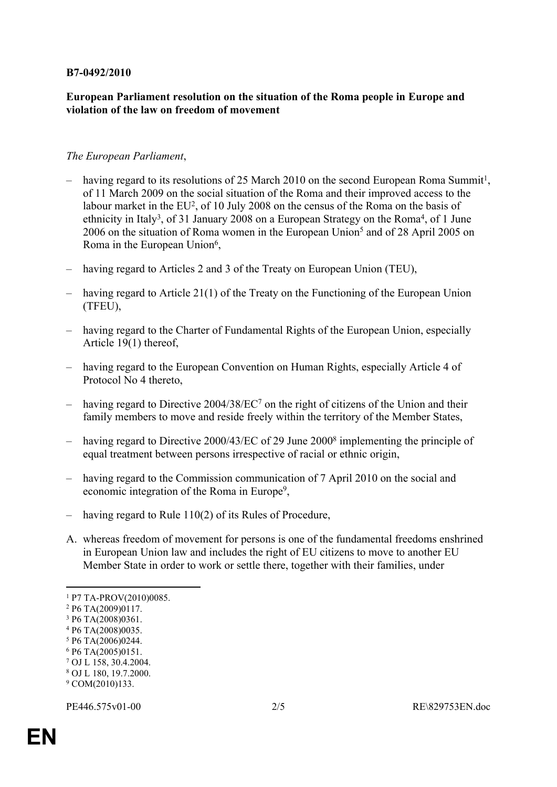#### **B7-0492/2010**

### **European Parliament resolution on the situation of the Roma people in Europe and violation of the law on freedom of movement**

#### *The European Parliament*,

- having regard to its resolutions of 25 March 2010 on the second European Roma Summit<sup>1</sup>, of 11 March 2009 on the social situation of the Roma and their improved access to the labour market in the  $EU^2$ , of 10 July 2008 on the census of the Roma on the basis of ethnicity in Italy<sup>3</sup>, of 31 January 2008 on a European Strategy on the Roma<sup>4</sup>, of 1 June 2006 on the situation of Roma women in the European Union<sup>5</sup> and of 28 April 2005 on Roma in the European Union<sup>6</sup>,
- having regard to Articles 2 and 3 of the Treaty on European Union (TEU),
- having regard to Article 21(1) of the Treaty on the Functioning of the European Union (TFEU),
- having regard to the Charter of Fundamental Rights of the European Union, especially Article 19(1) thereof,
- having regard to the European Convention on Human Rights, especially Article 4 of Protocol No 4 thereto,
- having regard to Directive  $2004/38/EC^7$  on the right of citizens of the Union and their family members to move and reside freely within the territory of the Member States,
- having regard to Directive 2000/43/EC of 29 June 2000<sup>8</sup> implementing the principle of equal treatment between persons irrespective of racial or ethnic origin,
- having regard to the Commission communication of 7 April 2010 on the social and economic integration of the Roma in Europe<sup>9</sup>,
- having regard to Rule 110(2) of its Rules of Procedure,
- A. whereas freedom of movement for persons is one of the fundamental freedoms enshrined in European Union law and includes the right of EU citizens to move to another EU Member State in order to work or settle there, together with their families, under

[PE446.575v01-00](#page-0-0) 2/5 [RE\829753EN.doc](#page-0-1)

<sup>1</sup> P7 TA-PROV(2010)0085.

<sup>2</sup> P6 TA(2009)0117.

<sup>3</sup> P6 TA(2008)0361.

<sup>4</sup> P6 TA(2008)0035.

<sup>5</sup> P6 TA(2006)0244.

<sup>6</sup> P6 TA(2005)0151.

<sup>7</sup> OJ L 158, 30.4.2004.

<sup>8</sup> OJ L 180, 19.7.2000.

<sup>&</sup>lt;sup>9</sup> COM(2010)133.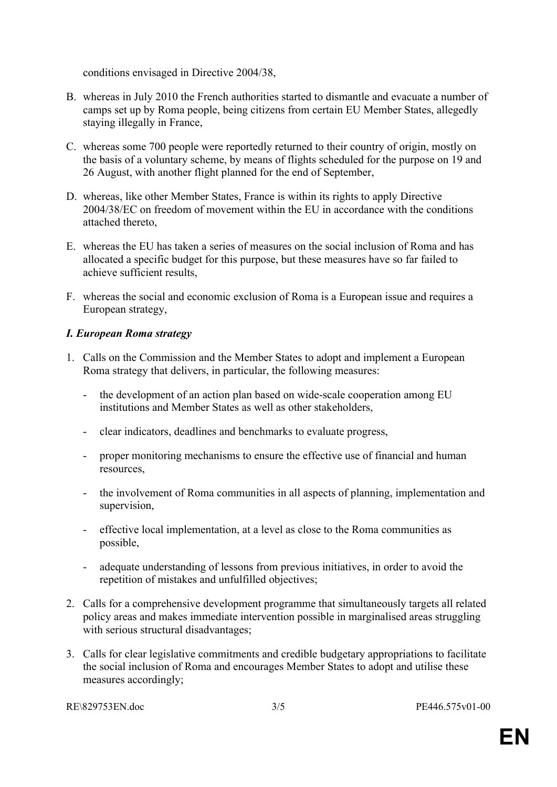conditions envisaged in Directive 2004/38,

- B. whereas in July 2010 the French authorities started to dismantle and evacuate a number of camps set up by Roma people, being citizens from certain EU Member States, allegedly staying illegally in France,
- C. whereas some 700 people were reportedly returned to their country of origin, mostly on the basis of a voluntary scheme, by means of flights scheduled for the purpose on 19 and 26 August, with another flight planned for the end of September,
- D. whereas, like other Member States, France is within its rights to apply Directive 2004/38/EC on freedom of movement within the EU in accordance with the conditions attached thereto,
- E. whereas the EU has taken a series of measures on the social inclusion of Roma and has allocated a specific budget for this purpose, but these measures have so far failed to achieve sufficient results,
- F. whereas the social and economic exclusion of Roma is a European issue and requires a European strategy,

## *I. European Roma strategy*

- 1. Calls on the Commission and the Member States to adopt and implement a European Roma strategy that delivers, in particular, the following measures:
	- the development of an action plan based on wide-scale cooperation among EU institutions and Member States as well as other stakeholders,
	- clear indicators, deadlines and benchmarks to evaluate progress,
	- proper monitoring mechanisms to ensure the effective use of financial and human resources,
	- the involvement of Roma communities in all aspects of planning, implementation and supervision,
	- effective local implementation, at a level as close to the Roma communities as possible,
	- adequate understanding of lessons from previous initiatives, in order to avoid the repetition of mistakes and unfulfilled objectives;
- 2. Calls for a comprehensive development programme that simultaneously targets all related policy areas and makes immediate intervention possible in marginalised areas struggling with serious structural disadvantages;
- 3. Calls for clear legislative commitments and credible budgetary appropriations to facilitate the social inclusion of Roma and encourages Member States to adopt and utilise these measures accordingly;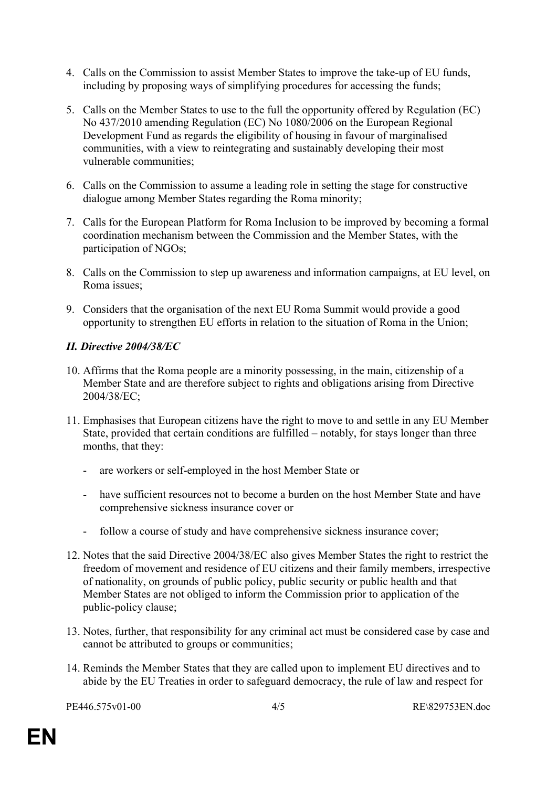- 4. Calls on the Commission to assist Member States to improve the take-up of EU funds, including by proposing ways of simplifying procedures for accessing the funds;
- 5. Calls on the Member States to use to the full the opportunity offered by Regulation (EC) No 437/2010 amending Regulation (EC) No 1080/2006 on the European Regional Development Fund as regards the eligibility of housing in favour of marginalised communities, with a view to reintegrating and sustainably developing their most vulnerable communities;
- 6. Calls on the Commission to assume a leading role in setting the stage for constructive dialogue among Member States regarding the Roma minority;
- 7. Calls for the European Platform for Roma Inclusion to be improved by becoming a formal coordination mechanism between the Commission and the Member States, with the participation of NGOs;
- 8. Calls on the Commission to step up awareness and information campaigns, at EU level, on Roma issues;
- 9. Considers that the organisation of the next EU Roma Summit would provide a good opportunity to strengthen EU efforts in relation to the situation of Roma in the Union;

# *II. Directive 2004/38/EC*

- 10. Affirms that the Roma people are a minority possessing, in the main, citizenship of a Member State and are therefore subject to rights and obligations arising from Directive 2004/38/EC;
- 11. Emphasises that European citizens have the right to move to and settle in any EU Member State, provided that certain conditions are fulfilled – notably, for stays longer than three months, that they:
	- are workers or self-employed in the host Member State or
	- have sufficient resources not to become a burden on the host Member State and have comprehensive sickness insurance cover or
	- follow a course of study and have comprehensive sickness insurance cover;
- 12. Notes that the said Directive 2004/38/EC also gives Member States the right to restrict the freedom of movement and residence of EU citizens and their family members, irrespective of nationality, on grounds of public policy, public security or public health and that Member States are not obliged to inform the Commission prior to application of the public-policy clause;
- 13. Notes, further, that responsibility for any criminal act must be considered case by case and cannot be attributed to groups or communities;
- 14. Reminds the Member States that they are called upon to implement EU directives and to abide by the EU Treaties in order to safeguard democracy, the rule of law and respect for